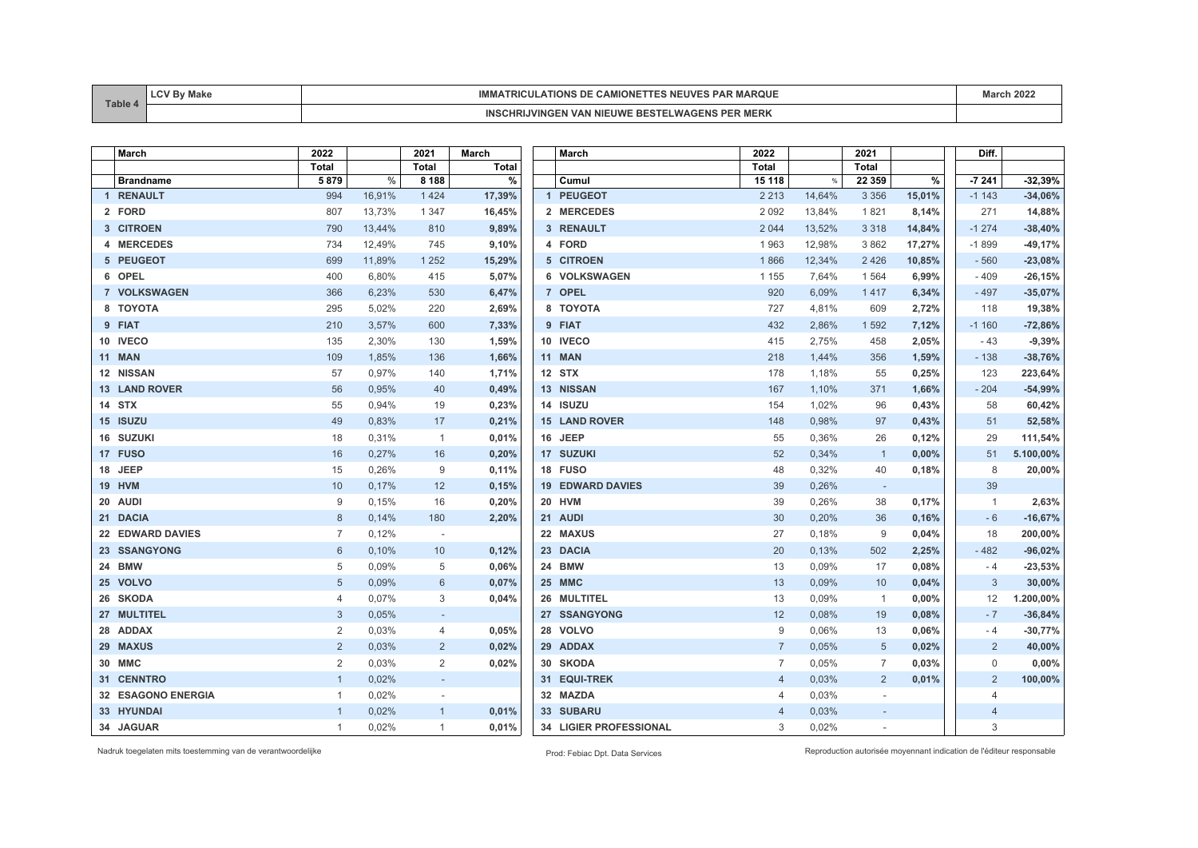| Table | лакс | <b>IMM</b><br><b>MARQUE</b><br>TIONS<br>PAP<br>⊿uv'<br>UE.<br>۰ лм.<br>$-11.1$ | 0.001<br>L ZUZ |
|-------|------|--------------------------------------------------------------------------------|----------------|
|       |      | <b>MERK</b><br><b>NIL</b><br>l IWI<br>.                                        |                |

| March                | 2022           |        | 2021                     | <b>March</b> |  | <b>March</b>            | 2022           |        | 2021                     |        | Diff.          |           |
|----------------------|----------------|--------|--------------------------|--------------|--|-------------------------|----------------|--------|--------------------------|--------|----------------|-----------|
|                      | <b>Total</b>   |        | <b>Total</b>             | <b>Total</b> |  |                         | <b>Total</b>   |        | <b>Total</b>             |        |                |           |
| <b>Brandname</b>     | 5879           | %      | 8 1 8 8                  | $\%$         |  | Cumul                   | 15 118         | %      | 22 3 5 9                 | $\%$   | $-7241$        | $-32,39%$ |
| 1 RENAULT            | 994            | 16,91% | 1424                     | 17,39%       |  | 1 PEUGEOT               | 2 2 1 3        | 14,64% | 3 3 5 6                  | 15,01% | $-1143$        | $-34,06%$ |
| 2 FORD               | 807            | 13,73% | 1 3 4 7                  | 16,45%       |  | 2 MERCEDES              | 2 0 9 2        | 13,84% | 1821                     | 8,14%  | 271            | 14,88%    |
| 3 CITROEN            | 790            | 13,44% | 810                      | 9,89%        |  | 3 RENAULT               | 2 0 4 4        | 13,52% | 3 3 1 8                  | 14,84% | $-1274$        | $-38,40%$ |
| 4 MERCEDES           | 734            | 12,49% | 745                      | 9,10%        |  | 4 FORD                  | 1963           | 12,98% | 3862                     | 17,27% | $-1899$        | $-49,17%$ |
| 5 PEUGEOT            | 699            | 11,89% | 1 2 5 2                  | 15,29%       |  | 5 CITROEN               | 1866           | 12,34% | 2426                     | 10,85% | $-560$         | $-23,08%$ |
| 6 OPEL               | 400            | 6,80%  | 415                      | 5,07%        |  | 6 VOLKSWAGEN            | 1 1 5 5        | 7,64%  | 1564                     | 6,99%  | $-409$         | $-26,15%$ |
| 7 VOLKSWAGEN         | 366            | 6,23%  | 530                      | 6,47%        |  | 7 OPEL                  | 920            | 6,09%  | 1417                     | 6,34%  | $-497$         | $-35,07%$ |
| 8 TOYOTA             | 295            | 5,02%  | 220                      | 2,69%        |  | 8 TOYOTA                | 727            | 4,81%  | 609                      | 2,72%  | 118            | 19,38%    |
| 9 FIAT               | 210            | 3,57%  | 600                      | 7,33%        |  | 9 FIAT                  | 432            | 2,86%  | 1592                     | 7,12%  | $-1160$        | $-72,86%$ |
| 10 IVECO             | 135            | 2,30%  | 130                      | 1,59%        |  | 10 IVECO                | 415            | 2,75%  | 458                      | 2,05%  | - 43           | $-9,39%$  |
| <b>11 MAN</b>        | 109            | 1,85%  | 136                      | 1,66%        |  | <b>11 MAN</b>           | 218            | 1,44%  | 356                      | 1,59%  | $-138$         | $-38,76%$ |
| 12 NISSAN            | 57             | 0,97%  | 140                      | 1,71%        |  | 12 STX                  | 178            | 1,18%  | 55                       | 0,25%  | 123            | 223,64%   |
| <b>13 LAND ROVER</b> | 56             | 0,95%  | 40                       | 0,49%        |  | 13 NISSAN               | 167            | 1,10%  | 371                      | 1,66%  | $-204$         | $-54,99%$ |
| 14 STX               | 55             | 0,94%  | 19                       | 0,23%        |  | 14 ISUZU                | 154            | 1,02%  | 96                       | 0,43%  | 58             | 60,42%    |
| 15 ISUZU             | 49             | 0,83%  | 17                       | 0,21%        |  | <b>15 LAND ROVER</b>    | 148            | 0,98%  | 97                       | 0,43%  | 51             | 52,58%    |
| 16 SUZUKI            | 18             | 0,31%  | $\overline{1}$           | 0,01%        |  | 16 JEEP                 | 55             | 0,36%  | 26                       | 0,12%  | 29             | 111,54%   |
| 17 FUSO              | 16             | 0,27%  | 16                       | 0,20%        |  | 17 SUZUKI               | 52             | 0,34%  | $\overline{1}$           | 0,00%  | 51             | 5.100,00% |
| 18 JEEP              | 15             | 0,26%  | 9                        | 0,11%        |  | 18 FUSO                 | 48             | 0,32%  | 40                       | 0,18%  | 8              | 20,00%    |
| <b>19 HVM</b>        | 10             | 0,17%  | 12                       | 0,15%        |  | <b>19 EDWARD DAVIES</b> | 39             | 0,26%  | $\overline{\phantom{a}}$ |        | 39             |           |
| 20 AUDI              | 9              | 0,15%  | 16                       | 0,20%        |  | 20 HVM                  | 39             | 0,26%  | 38                       | 0,17%  | $\mathbf{1}$   | 2,63%     |
| 21 DACIA             | 8              | 0,14%  | 180                      | 2,20%        |  | 21 AUDI                 | 30             | 0,20%  | 36                       | 0,16%  | $-6$           | $-16,67%$ |
| 22 EDWARD DAVIES     | $\overline{7}$ | 0,12%  | $\overline{\phantom{a}}$ |              |  | 22 MAXUS                | 27             | 0,18%  | 9                        | 0,04%  | 18             | 200,00%   |
| 23 SSANGYONG         | 6              | 0,10%  | 10 <sup>°</sup>          | 0,12%        |  | 23 DACIA                | 20             | 0,13%  | 502                      | 2,25%  | $-482$         | $-96,02%$ |
| 24 BMW               | 5              | 0,09%  | 5                        | 0,06%        |  | 24 BMW                  | 13             | 0,09%  | 17                       | 0,08%  | - 4            | $-23,53%$ |
| 25 VOLVO             | 5              | 0,09%  | 6                        | 0,07%        |  | 25 MMC                  | 13             | 0,09%  | 10                       | 0,04%  | 3              | 30,00%    |
| 26 SKODA             | $\overline{4}$ | 0,07%  | 3                        | 0,04%        |  | 26 MULTITEL             | 13             | 0,09%  | $\overline{1}$           | 0,00%  | 12             | 1.200,00% |
| 27 MULTITEL          | 3              | 0,05%  | $\sim$                   |              |  | 27 SSANGYONG            | 12             | 0,08%  | 19                       | 0,08%  | $-7$           | $-36,84%$ |
| 28 ADDAX             | $\overline{2}$ | 0,03%  | 4                        | 0,05%        |  | 28 VOLVO                | 9              | 0.06%  | 13                       | 0,06%  | $-4$           | $-30,77%$ |
| 29 MAXUS             | $\overline{2}$ | 0,03%  | $\overline{2}$           | 0,02%        |  | 29 ADDAX                | $\overline{7}$ | 0,05%  | 5                        | 0,02%  | 2              | 40,00%    |
| 30 MMC               | $\overline{2}$ | 0,03%  | $\overline{2}$           | 0,02%        |  | 30 SKODA                | $\overline{7}$ | 0,05%  | $\overline{7}$           | 0,03%  | $\mathbf 0$    | 0,00%     |
| 31 CENNTRO           | $\overline{1}$ | 0,02%  | $\sim$                   |              |  | 31 EQUI-TREK            | $\overline{4}$ | 0,03%  | 2                        | 0,01%  | 2              | 100,00%   |
| 32 ESAGONO ENERGIA   | $\mathbf{1}$   | 0,02%  |                          |              |  | 32 MAZDA                | 4              | 0,03%  |                          |        | $\overline{4}$ |           |
| 33 HYUNDAI           | $\overline{1}$ | 0,02%  | $\mathbf{1}$             | 0,01%        |  | 33 SUBARU               | $\overline{4}$ | 0,03%  | $\overline{\phantom{a}}$ |        | $\overline{4}$ |           |
| 34 JAGUAR            | $\mathbf{1}$   | 0,02%  | $\mathbf{1}$             | 0,01%        |  | 34 LIGIER PROFESSIONAL  | 3              | 0,02%  |                          |        | 3              |           |

Nadruk toegelaten mits toestemming van de verantwoordelijke Prod: Febiac Dpt. Data Services Reproduction autorisée moyennant indication de l'éditeur responsable